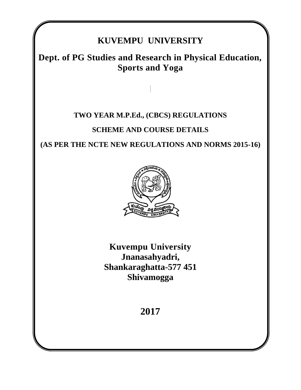# **KUVEMPU UNIVERSITY**

# **Dept. of PG Studies and Research in Physical Education, Sports and Yoga**

# **TWO YEAR M.P.Ed., (CBCS) REGULATIONS SCHEME AND COURSE DETAILS**

**(AS PER THE NCTE NEW REGULATIONS AND NORMS 2015-16)**



**Kuvempu University Jnanasahyadri, Shankaraghatta-577 451 Shivamogga**

**2017**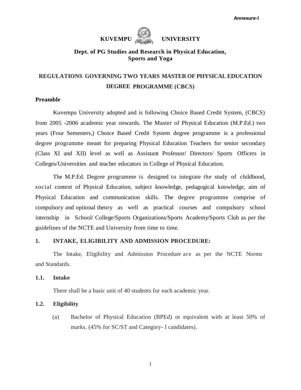# **KUVEMPU** WERSITY

#### **Dept. of PG Studies and Research in Physical Education, Sports and Yoga**

# **REGULATIONS GOVERNING TWO YEARS MASTER OF PHYSICAL EDUCATION DEGREE PROGRAMME (CBCS)**

#### **Preamble**

Kuvempu University adopted and is following Choice Based Credit System, (CBCS) from 2005 -2006 academic year onwards. The Master of Physical Education (M.P.Ed.) two years (Four Semesters,) Choice Based Credit System degree programme is a professional degree programme meant for preparing Physical Education Teachers for senior secondary (Class XI and XII) level as well as Assistant Professor/ Directors/ Sports Officers in Colleges/Universities and teacher educators in College of Physical Education.

The M.P.Ed. Degree programme is designed to integrate the study of childhood, social context of Physical Education, subject knowledge, pedagogical knowledge, aim of Physical Education and communication skills. The degree programme comprise of compulsory and optional theory as well as practical courses and compulsory school internship in School/ College/Sports Organizations/Sports Academy/Sports Club as per the guidelines of the NCTE and University from time to time.

#### **1. INTAKE, ELIGIBILITY AND ADMISSION PROCEDURE:**

The Intake, Eligibility and Admission Procedure are as per the NCTE Norms and Standards.

#### **1.1. Intake**

There shall be a basic unit of 40 students for each academic year.

#### **1.2. Eligibility**

(a) Bachelor of Physical Education (BPEd) or equivalent with at least 50% of marks. (45% for SC/ST and Category- I candidates).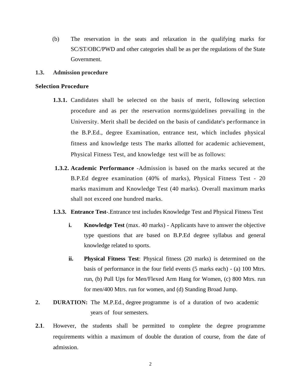(b) The reservation in the seats and relaxation in the qualifying marks for SC/ST/OBC/PWD and other categories shall be as per the regulations of the State Government.

#### **1.3. Admission procedure**

#### **Selection Procedure**

- **1.3.1.** Candidates shall be selected on the basis of merit, following selection procedure and as per the reservation norms/guidelines prevailing in the University. Merit shall be decided on the basis of candidate's performance in the B.P.Ed., degree Examination, entrance test, which includes physical fitness and knowledge tests The marks allotted for academic achievement, Physical Fitness Test, and knowledge test will be as follows:
- **1.3.2. Academic Performance** -Admission is based on the marks secured at the B.P.Ed degree examination (40% of marks), Physical Fitness Test - 20 marks maximum and Knowledge Test (40 marks). Overall maximum marks shall not exceed one hundred marks.
- **1.3.3. Entrance Test**-.Entrance test includes Knowledge Test and Physical Fitness Test
	- **i. Knowledge Test** (max. 40 marks) Applicants have to answer the objective type questions that are based on B.P.Ed degree syllabus and general knowledge related to sports.
	- **ii. Physical Fitness Test**: Physical fitness (20 marks) is determined on the basis of performance in the four field events (5 marks each) - (a) 100 Mtrs. run, (b) Pull Ups for Men/Flexed Arm Hang for Women, (c) 800 Mtrs. run for men/400 Mtrs. run for women, and (d) Standing Broad Jump.
- **2. DURATION:** The M.P.Ed., degree programme is of a duration of two academic years of four semesters.
- **2.1**. However, the students shall be permitted to complete the degree programme requirements within a maximum of double the duration of course, from the date of admission.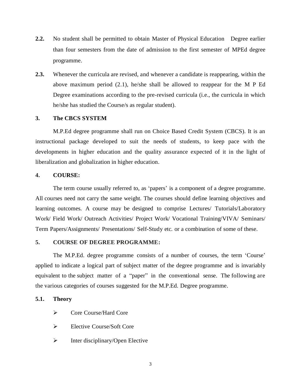- **2.2.** No student shall be permitted to obtain Master of Physical Education Degree earlier than four semesters from the date of admission to the first semester of MPEd degree programme.
- **2.3.** Whenever the curricula are revised, and whenever a candidate is reappearing, within the above maximum period (2.1), he/she shall be allowed to reappear for the M P Ed Degree examinations according to the pre-revised curricula (i.e., the curricula in which he/she has studied the Course/s as regular student).

#### **3. The CBCS SYSTEM**

M.P.Ed degree programme shall run on Choice Based Credit System (CBCS). It is an instructional package developed to suit the needs of students, to keep pace with the developments in higher education and the quality assurance expected of it in the light of liberalization and globalization in higher education.

#### **4. COURSE:**

The term course usually referred to, as 'papers' is a component of a degree programme. All courses need not carry the same weight. The courses should define learning objectives and learning outcomes. A course may be designed to comprise Lectures/ Tutorials/Laboratory Work/ Field Work/ Outreach Activities/ Project Work/ Vocational Training/VIVA/ Seminars/ Term Papers/Assignments/ Presentations/ Self-Study etc. or a combination of some of these.

#### **5. COURSE OF DEGREE PROGRAMME:**

The M.P.Ed. degree programme consists of a number of courses, the term 'Course' applied to indicate a logical part of subject matter of the degree programme and is invariably equivalent to the subject matter of a "paper" in the conventional sense. The following are the various categories of courses suggested for the M.P.Ed. Degree programme.

#### **5.1. Theory**

- $\triangleright$  Core Course/Hard Core
- $\triangleright$  Elective Course/Soft Core
- $\triangleright$  Inter disciplinary/Open Elective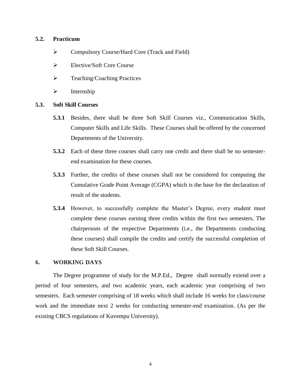#### **5.2. Practicum**

- Compulsory Course/Hard Core (Track and Field)
- Elective/Soft Core Course
- $\triangleright$  Teaching/Coaching Practices
- $\triangleright$  Internship

#### **5.3. Soft Skill Courses**

- **5.3.1** Besides, there shall be three Soft Skill Courses viz., Communication Skills, Computer Skills and Life Skills. These Courses shall be offered by the concerned Departments of the University.
- **5.3.2** Each of these three courses shall carry one credit and there shall be no semesterend examination for these courses.
- **5.3.3** Further, the credits of these courses shall not be considered for computing the Cumulative Grade Point Average (CGPA) which is the base for the declaration of result of the students.
- **5.3.4** However, to successfully complete the Master's Degree, every student must complete these courses earning three credits within the first two semesters. The chairpersons of the respective Departments (i.e., the Departments conducting these courses) shall compile the credits and certify the successful completion of these Soft Skill Courses.

#### **6. WORKING DAYS**

The Degree programme of study for the M.P.Ed., Degree shall normally extend over a period of four semesters, and two academic years, each academic year comprising of two semesters. Each semester comprising of 18 weeks which shall include 16 weeks for class/course work and the immediate next 2 weeks for conducting semester-end examination. (As per the existing CBCS regulations of Kuvempu University).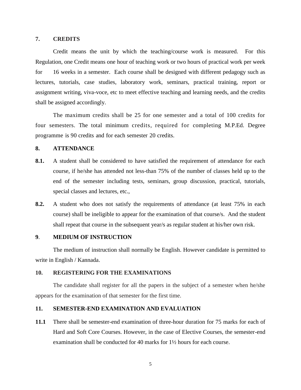#### **7. CREDITS**

Credit means the unit by which the teaching/course work is measured. For this Regulation, one Credit means one hour of teaching work or two hours of practical work per week for 16 weeks in a semester. Each course shall be designed with different pedagogy such as lectures, tutorials, case studies, laboratory work, seminars, practical training, report or assignment writing, viva-voce, etc to meet effective teaching and learning needs, and the credits shall be assigned accordingly.

The maximum credits shall be 25 for one semester and a total of 100 credits for four semesters. The total minimum credits, required for completing M.P.Ed. Degree programme is 90 credits and for each semester 20 credits.

#### **8. ATTENDANCE**

- **8.1.** A student shall be considered to have satisfied the requirement of attendance for each course, if he/she has attended not less-than 75% of the number of classes held up to the end of the semester including tests, seminars, group discussion, practical, tutorials, special classes and lectures, etc.,
- **8.2.** A student who does not satisfy the requirements of attendance (at least 75% in each course) shall be ineligible to appear for the examination of that course/s. And the student shall repeat that course in the subsequent year/s as regular student at his/her own risk.

#### **9**. **MEDIUM OF INSTRUCTION**

The medium of instruction shall normally be English. However candidate is permitted to write in English / Kannada.

#### **10. REGISTERING FOR THE EXAMINATIONS**

The candidate shall register for all the papers in the subject of a semester when he/she appears for the examination of that semester for the first time.

#### **11. SEMESTER-END EXAMINATION AND EVALUATION**

**11.1** There shall be semester-end examination of three-hour duration for 75 marks for each of Hard and Soft Core Courses. However, in the case of Elective Courses, the semester-end examination shall be conducted for 40 marks for 1½ hours for each course.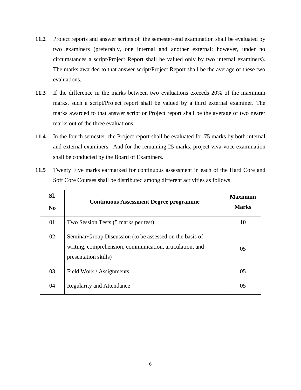- **11.2** Project reports and answer scripts of the semester-end examination shall be evaluated by two examiners (preferably, one internal and another external; however, under no circumstances a script/Project Report shall be valued only by two internal examiners). The marks awarded to that answer script/Project Report shall be the average of these two evaluations.
- **11.3** If the difference in the marks between two evaluations exceeds 20% of the maximum marks, such a script/Project report shall be valued by a third external examiner. The marks awarded to that answer script or Project report shall be the average of two nearer marks out of the three evaluations.
- **11.4** In the fourth semester, the Project report shall be evaluated for 75 marks by both internal and external examiners. And for the remaining 25 marks, project viva-voce examination shall be conducted by the Board of Examiners.

| SI.<br>No | <b>Continuous Assessment Degree programme</b>                                                                                                | <b>Maximum</b><br><b>Marks</b> |
|-----------|----------------------------------------------------------------------------------------------------------------------------------------------|--------------------------------|
| 01        | Two Session Tests (5 marks per test)                                                                                                         | 10                             |
| 02        | Seminar/Group Discussion (to be assessed on the basis of<br>writing, comprehension, communication, articulation, and<br>presentation skills) | 0 <sub>5</sub>                 |
| 03        | Field Work / Assignments                                                                                                                     | 0 <sub>5</sub>                 |
| 04        | <b>Regularity and Attendance</b>                                                                                                             | 05                             |

**11.5** Twenty Five marks earmarked for continuous assessment in each of the Hard Core and Soft Core Courses shall be distributed among different activities as follows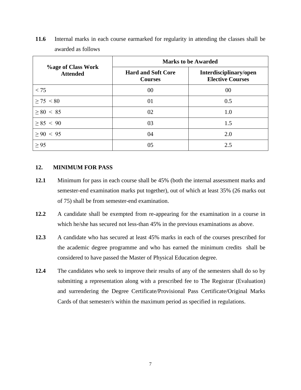|                                              | <b>Marks to be Awarded</b>                  |                                                   |  |  |  |  |  |  |
|----------------------------------------------|---------------------------------------------|---------------------------------------------------|--|--|--|--|--|--|
| <b>%age of Class Work</b><br><b>Attended</b> | <b>Hard and Soft Core</b><br><b>Courses</b> | Interdisciplinary/open<br><b>Elective Courses</b> |  |  |  |  |  |  |
| < 75                                         | 00                                          | 00                                                |  |  |  |  |  |  |
| $\geq$ 75 < 80                               | 01                                          | 0.5                                               |  |  |  |  |  |  |
| > 80 < 85                                    | 02                                          | 1.0                                               |  |  |  |  |  |  |
| > 85 < 90                                    | 03                                          | 1.5                                               |  |  |  |  |  |  |
| > 90 < 95                                    | 04                                          | 2.0                                               |  |  |  |  |  |  |
| $\geq$ 95                                    | 05                                          | 2.5                                               |  |  |  |  |  |  |

**11.6** Internal marks in each course earmarked for regularity in attending the classes shall be awarded as follows

#### **12. MINIMUM FOR PASS**

- **12.1** Minimum for pass in each course shall be 45% (both the internal assessment marks and semester-end examination marks put together), out of which at least 35% (26 marks out of 75) shall be from semester-end examination.
- **12.2** A candidate shall be exempted from re-appearing for the examination in a course in which he/she has secured not less-than 45% in the previous examinations as above.
- **12.3** A candidate who has secured at least 45% marks in each of the courses prescribed for the academic degree programme and who has earned the minimum credits shall be considered to have passed the Master of Physical Education degree.
- **12.4** The candidates who seek to improve their results of any of the semesters shall do so by submitting a representation along with a prescribed fee to The Registrar (Evaluation) and surrendering the Degree Certificate/Provisional Pass Certificate/Original Marks Cards of that semester/s within the maximum period as specified in regulations.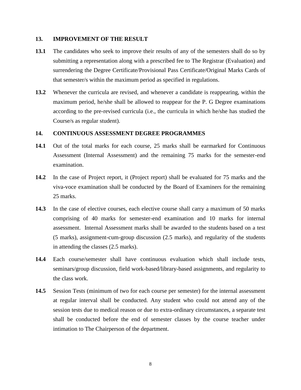#### **13. IMPROVEMENT OF THE RESULT**

- **13.1** The candidates who seek to improve their results of any of the semesters shall do so by submitting a representation along with a prescribed fee to The Registrar (Evaluation) and surrendering the Degree Certificate/Provisional Pass Certificate/Original Marks Cards of that semester/s within the maximum period as specified in regulations.
- **13.2** Whenever the curricula are revised, and whenever a candidate is reappearing, within the maximum period, he/she shall be allowed to reappear for the P. G Degree examinations according to the pre-revised curricula (i.e., the curricula in which he/she has studied the Course/s as regular student).

#### **14. CONTINUOUS ASSESSMENT DEGREE PROGRAMMES**

- **14.1** Out of the total marks for each course, 25 marks shall be earmarked for Continuous Assessment (Internal Assessment) and the remaining 75 marks for the semester-end examination.
- **14.2** In the case of Project report, it (Project report) shall be evaluated for 75 marks and the viva-voce examination shall be conducted by the Board of Examiners for the remaining 25 marks.
- **14.3** In the case of elective courses, each elective course shall carry a maximum of 50 marks comprising of 40 marks for semester-end examination and 10 marks for internal assessment. Internal Assessment marks shall be awarded to the students based on a test (5 marks), assignment-cum-group discussion (2.5 marks), and regularity of the students in attending the classes (2.5 marks).
- **14.4** Each course/semester shall have continuous evaluation which shall include tests, seminars/group discussion, field work-based/library-based assignments, and regularity to the class work.
- **14.5** Session Tests (minimum of two for each course per semester) for the internal assessment at regular interval shall be conducted. Any student who could not attend any of the session tests due to medical reason or due to extra-ordinary circumstances, a separate test shall be conducted before the end of semester classes by the course teacher under intimation to The Chairperson of the department.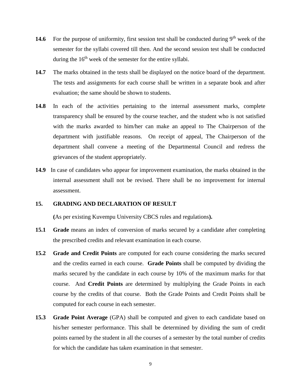- 14.6 For the purpose of uniformity, first session test shall be conducted during 9<sup>th</sup> week of the semester for the syllabi covered till then. And the second session test shall be conducted during the  $16<sup>th</sup>$  week of the semester for the entire syllabi.
- **14.7** The marks obtained in the tests shall be displayed on the notice board of the department. The tests and assignments for each course shall be written in a separate book and after evaluation; the same should be shown to students.
- **14.8** In each of the activities pertaining to the internal assessment marks, complete transparency shall be ensured by the course teacher, and the student who is not satisfied with the marks awarded to him/her can make an appeal to The Chairperson of the department with justifiable reasons. On receipt of appeal, The Chairperson of the department shall convene a meeting of the Departmental Council and redress the grievances of the student appropriately.
- **14.9** In case of candidates who appear for improvement examination, the marks obtained in the internal assessment shall not be revised. There shall be no improvement for internal assessment.

#### **15. GRADING AND DECLARATION OF RESULT**

**(**As per existing Kuvempu University CBCS rules and regulations**).**

- **15.1 Grade** means an index of conversion of marks secured by a candidate after completing the prescribed credits and relevant examination in each course.
- **15.2 Grade and Credit Points** are computed for each course considering the marks secured and the credits earned in each course. **Grade Points** shall be computed by dividing the marks secured by the candidate in each course by 10% of the maximum marks for that course. And **Credit Points** are determined by multiplying the Grade Points in each course by the credits of that course. Both the Grade Points and Credit Points shall be computed for each course in each semester.
- **15.3 Grade Point Average** (GPA) shall be computed and given to each candidate based on his/her semester performance. This shall be determined by dividing the sum of credit points earned by the student in all the courses of a semester by the total number of credits for which the candidate has taken examination in that semester.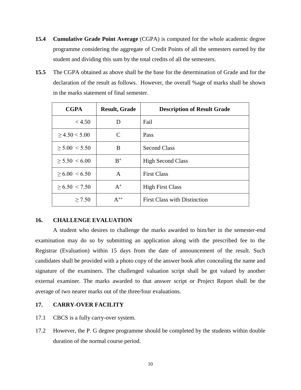- **15.4 Cumulative Grade Point Average** (CGPA) is computed for the whole academic degree programme considering the aggregate of Credit Points of all the semesters earned by the student and dividing this sum by the total credits of all the semesters.
- **15.5** The CGPA obtained as above shall be the base for the determination of Grade and for the declaration of the result as follows. However, the overall %age of marks shall be shown in the marks statement of final semester.

| <b>CGPA</b>           | <b>Result, Grade</b> | <b>Description of Result Grade</b>  |  |  |  |  |
|-----------------------|----------------------|-------------------------------------|--|--|--|--|
| < 4.50                | D                    | Fail                                |  |  |  |  |
| > 4.50 < 5.00         |                      | Pass                                |  |  |  |  |
| > 5.00 < 5.50         | B                    | <b>Second Class</b>                 |  |  |  |  |
| $> 5.50 \le 6.00$     | $R^+$                | <b>High Second Class</b>            |  |  |  |  |
| $> 6.00 \le 6.50$     | A                    | <b>First Class</b>                  |  |  |  |  |
| $\geq 6.50 \leq 7.50$ | $A^+$                | <b>High First Class</b>             |  |  |  |  |
| > 7.50                | $A^{++}$             | <b>First Class with Distinction</b> |  |  |  |  |

#### **16. CHALLENGE EVALUATION**

A student who desires to challenge the marks awarded to him/her in the semester-end examination may do so by submitting an application along with the prescribed fee to the Registrar (Evaluation) within 15 days from the date of announcement of the result. Such candidates shall be provided with a photo copy of the answer book after concealing the name and signature of the examiners. The challenged valuation script shall be got valued by another external examiner. The marks awarded to that answer script or Project Report shall be the average of two nearer marks out of the three/four evaluations.

### **17. CARRY-OVER FACILITY**

- 17.1 CBCS is a fully carry-over system.
- 17.2 However, the P. G degree programme should be completed by the students within double duration of the normal course period.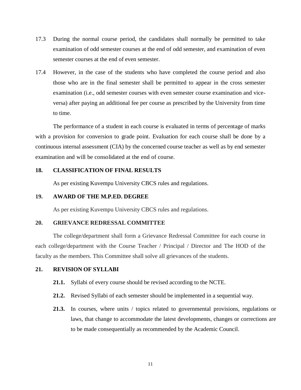- 17.3 During the normal course period, the candidates shall normally be permitted to take examination of odd semester courses at the end of odd semester, and examination of even semester courses at the end of even semester.
- 17.4 However, in the case of the students who have completed the course period and also those who are in the final semester shall be permitted to appear in the cross semester examination (i.e., odd semester courses with even semester course examination and viceversa) after paying an additional fee per course as prescribed by the University from time to time.

The performance of a student in each course is evaluated in terms of percentage of marks with a provision for conversion to grade point. Evaluation for each course shall be done by a continuous internal assessment (CIA) by the concerned course teacher as well as by end semester examination and will be consolidated at the end of course.

#### **18. CLASSIFICATION OF FINAL RESULTS**

As per existing Kuvempu University CBCS rules and regulations.

#### **19. AWARD OF THE M.P.ED. DEGREE**

As per existing Kuvempu University CBCS rules and regulations.

#### **20. GRIEVANCE REDRESSAL COMMITTEE**

The college/department shall form a Grievance Redressal Committee for each course in each college/department with the Course Teacher / Principal / Director and The HOD of the faculty as the members. This Committee shall solve all grievances of the students.

#### **21. REVISION OF SYLLABI**

- **21.1.** Syllabi of every course should be revised according to the NCTE.
- **21.2.** Revised Syllabi of each semester should be implemented in a sequential way.
- **21.3.** In courses, where units / topics related to governmental provisions, regulations or laws, that change to accommodate the latest developments, changes or corrections are to be made consequentially as recommended by the Academic Council.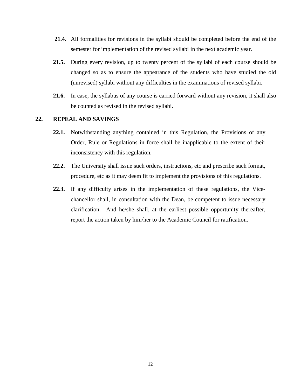- **21.4.** All formalities for revisions in the syllabi should be completed before the end of the semester for implementation of the revised syllabi in the next academic year.
- **21.5.** During every revision, up to twenty percent of the syllabi of each course should be changed so as to ensure the appearance of the students who have studied the old (unrevised) syllabi without any difficulties in the examinations of revised syllabi.
- **21.6.** In case, the syllabus of any course is carried forward without any revision, it shall also be counted as revised in the revised syllabi.

#### **22. REPEAL AND SAVINGS**

- **22.1.** Notwithstanding anything contained in this Regulation, the Provisions of any Order, Rule or Regulations in force shall be inapplicable to the extent of their inconsistency with this regulation.
- **22.2.** The University shall issue such orders, instructions, etc and prescribe such format, procedure, etc as it may deem fit to implement the provisions of this regulations.
- **22.3.** If any difficulty arises in the implementation of these regulations, the Vicechancellor shall, in consultation with the Dean, be competent to issue necessary clarification. And he/she shall, at the earliest possible opportunity thereafter, report the action taken by him/her to the Academic Council for ratification.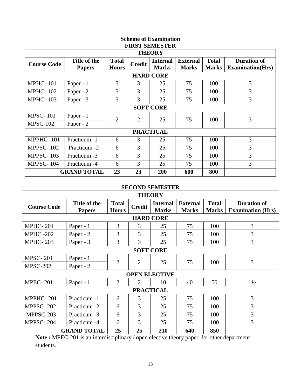| <b>Scheme of Examination</b><br><b>FIRST SEMESTER</b> |                               |                              |                |                                 |                                 |                              |                                                |  |  |  |
|-------------------------------------------------------|-------------------------------|------------------------------|----------------|---------------------------------|---------------------------------|------------------------------|------------------------------------------------|--|--|--|
| <b>THEORY</b>                                         |                               |                              |                |                                 |                                 |                              |                                                |  |  |  |
| <b>Course Code</b>                                    | Title of the<br><b>Papers</b> | <b>Total</b><br><b>Hours</b> | <b>Credit</b>  | <b>Internal</b><br><b>Marks</b> | <b>External</b><br><b>Marks</b> | <b>Total</b><br><b>Marks</b> | <b>Duration of</b><br><b>Examination</b> (Hrs) |  |  |  |
| <b>HARD CORE</b>                                      |                               |                              |                |                                 |                                 |                              |                                                |  |  |  |
| <b>MPHC -101</b>                                      | Paper - 1                     | 3                            | 3              | 25                              | 75                              | 100                          | 3                                              |  |  |  |
| <b>MPHC -102</b>                                      | Paper - 2                     | 3                            | 3              | 25                              | 75                              | 100                          | 3                                              |  |  |  |
| <b>MPHC -103</b>                                      | Paper - 3                     | 3                            | 3              | 25                              | 75                              | 100                          | 3                                              |  |  |  |
|                                                       |                               |                              |                | <b>SOFT CORE</b>                |                                 |                              |                                                |  |  |  |
| <b>MPSC-101</b>                                       | Paper - 1                     | $\overline{2}$               | $\overline{2}$ | 25                              | 75                              | 100                          | 3                                              |  |  |  |
| <b>MPSC-102</b>                                       | Paper - 2                     |                              |                |                                 |                                 |                              |                                                |  |  |  |
|                                                       |                               |                              |                | <b>PRACTICAL</b>                |                                 |                              |                                                |  |  |  |
| MPPHC-101                                             | Practicum -1                  | 6                            | 3              | 25                              | 75                              | 100                          | 3                                              |  |  |  |
| <b>MPPSC-102</b>                                      | Practicum -2                  | 6                            | 3              | 25                              | 75                              | 100                          | 3                                              |  |  |  |
| <b>MPPSC-103</b>                                      | Practicum -3                  | 6                            | 3              | 25                              | 75                              | 100                          | $\overline{3}$                                 |  |  |  |
| MPPSC-104                                             | Practicum -4                  | 6                            | 3              | 25                              | 75                              | 100                          | 3                                              |  |  |  |
|                                                       | <b>GRAND TOTAL</b>            | 23                           | 23             | 200                             | 600                             | 800                          |                                                |  |  |  |

## **SECOND SEMESTER**

| <b>THEORY</b>      |                               |                              |               |                                 |                                 |                              |                                                |  |  |  |  |
|--------------------|-------------------------------|------------------------------|---------------|---------------------------------|---------------------------------|------------------------------|------------------------------------------------|--|--|--|--|
| <b>Course Code</b> | Title of the<br><b>Papers</b> | <b>Total</b><br><b>Hours</b> | <b>Credit</b> | <b>Internal</b><br><b>Marks</b> | <b>External</b><br><b>Marks</b> | <b>Total</b><br><b>Marks</b> | <b>Duration of</b><br><b>Examination (Hrs)</b> |  |  |  |  |
| <b>HARD CORE</b>   |                               |                              |               |                                 |                                 |                              |                                                |  |  |  |  |
| <b>MPHC-201</b>    | Paper - 1                     | 3                            | 3             | 25                              | 75                              | 100                          | 3                                              |  |  |  |  |
| <b>MPHC -202</b>   | Paper - 2                     | 3                            | 3             | 25                              | 75                              | 100                          | 3                                              |  |  |  |  |
| <b>MPHC-203</b>    | Paper - 3                     | 3                            | 3             | 25                              | 75                              | 100                          | 3                                              |  |  |  |  |
| <b>SOFT CORE</b>   |                               |                              |               |                                 |                                 |                              |                                                |  |  |  |  |
| <b>MPSC-201</b>    | Paper - 1                     | $\overline{2}$               | 2             | 25                              | 75                              | 100                          | 3                                              |  |  |  |  |
| <b>MPSC-202</b>    | Paper - 2                     |                              |               |                                 |                                 |                              |                                                |  |  |  |  |
|                    |                               |                              |               | <b>OPEN ELECTIVE</b>            |                                 |                              |                                                |  |  |  |  |
| <b>MPEC-201</b>    | Paper - 1                     | $\overline{2}$               | 2             | 10                              | 40                              | 50                           | $1\frac{1}{2}$                                 |  |  |  |  |
|                    |                               |                              |               | <b>PRACTICAL</b>                |                                 |                              |                                                |  |  |  |  |
| MPPHC-201          | Practicum -1                  | 6                            | 3             | 25                              | 75                              | 100                          | 3                                              |  |  |  |  |
| <b>MPPSC-202</b>   | Practicum -2                  | 6                            | 3             | 25                              | 75                              | 100                          | 3                                              |  |  |  |  |
| MPPSC-203          | Practicum -3                  | 6                            | 3             | 25                              | 75                              | 100                          | 3                                              |  |  |  |  |
| MPPSC-204          | Practicum -4                  | 6                            | 3             | 25                              | 75                              | 100                          | 3                                              |  |  |  |  |
|                    | <b>GRAND TOTAL</b>            | 25                           | 25            | 210                             | 640                             | 850                          |                                                |  |  |  |  |

**Note :** MPEC-201 is an interdisciplinary / open elective theory paper for other department students.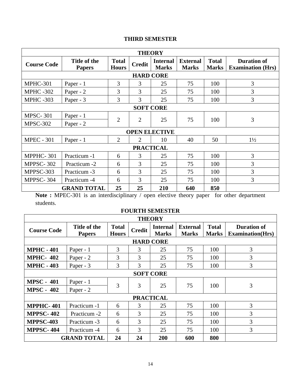# **THIRD SEMESTER**

| <b>THEORY</b>      |                               |                              |                                  |                                 |                                 |                              |                                                |  |  |  |  |
|--------------------|-------------------------------|------------------------------|----------------------------------|---------------------------------|---------------------------------|------------------------------|------------------------------------------------|--|--|--|--|
| <b>Course Code</b> | Title of the<br><b>Papers</b> | <b>Total</b><br><b>Hours</b> | <b>Credit</b>                    | <b>Internal</b><br><b>Marks</b> | <b>External</b><br><b>Marks</b> | <b>Total</b><br><b>Marks</b> | <b>Duration of</b><br><b>Examination (Hrs)</b> |  |  |  |  |
| <b>HARD CORE</b>   |                               |                              |                                  |                                 |                                 |                              |                                                |  |  |  |  |
| MPHC-301           | Paper - 1                     | 3                            | 3                                | 25                              | 75                              | 100                          | 3                                              |  |  |  |  |
| <b>MPHC -302</b>   | Paper - 2                     | 3                            | 3                                | 25                              | 75                              | 100                          | 3                                              |  |  |  |  |
| <b>MPHC -303</b>   | Paper - 3                     | 3                            | 3                                | 25                              | 75                              | 100                          | 3                                              |  |  |  |  |
| <b>SOFT CORE</b>   |                               |                              |                                  |                                 |                                 |                              |                                                |  |  |  |  |
| <b>MPSC-301</b>    | Paper - 1                     |                              |                                  |                                 |                                 |                              | 3                                              |  |  |  |  |
| <b>MPSC-302</b>    | Paper - 2                     |                              | $\overline{2}$<br>$\overline{2}$ | 25                              | 75                              | 100                          |                                                |  |  |  |  |
|                    |                               |                              |                                  | <b>OPEN ELECTIVE</b>            |                                 |                              |                                                |  |  |  |  |
| <b>MPEC - 301</b>  | Paper - 1                     | $\overline{2}$               | $\overline{2}$                   | 10                              | 40                              | 50                           | $1\frac{1}{2}$                                 |  |  |  |  |
|                    |                               |                              | <b>PRACTICAL</b>                 |                                 |                                 |                              |                                                |  |  |  |  |
| MPPHC-301          | Practicum -1                  | 6                            | 3                                | 25                              | 75                              | 100                          | 3                                              |  |  |  |  |
| MPPSC-302          | Practicum -2                  | 6                            | 3                                | 25                              | 75                              | 100                          | 3                                              |  |  |  |  |
| MPPSC-303          | Practicum -3                  | 6                            | 3                                | 25                              | 75                              | 100                          | 3                                              |  |  |  |  |
| MPPSC-304          | Practicum -4                  | 6                            | 3                                | 25                              | 75                              | 100                          | 3                                              |  |  |  |  |
|                    | <b>GRAND TOTAL</b>            | 25                           | 25                               | 210                             | 640                             | 850                          |                                                |  |  |  |  |

Note : MPEC-301 is an interdisciplinary / open elective theory paper for other department students.

# **FOURTH SEMESTER**

 $\overline{a}$ 

| <b>THEORY</b>      |                               |                              |               |                                 |                                 |                              |                                                |  |  |  |  |
|--------------------|-------------------------------|------------------------------|---------------|---------------------------------|---------------------------------|------------------------------|------------------------------------------------|--|--|--|--|
| <b>Course Code</b> | Title of the<br><b>Papers</b> | <b>Total</b><br><b>Hours</b> | <b>Credit</b> | <b>Internal</b><br><b>Marks</b> | <b>External</b><br><b>Marks</b> | <b>Total</b><br><b>Marks</b> | <b>Duration of</b><br><b>Examination</b> (Hrs) |  |  |  |  |
| <b>HARD CORE</b>   |                               |                              |               |                                 |                                 |                              |                                                |  |  |  |  |
| <b>MPHC - 401</b>  | Paper - 1                     | 3                            | 3             | 25                              | 75                              | 100                          | 3                                              |  |  |  |  |
| <b>MPHC-402</b>    | Paper - 2                     | 3                            | 3             | 25                              | 75                              | 100                          | 3                                              |  |  |  |  |
| <b>MPHC - 403</b>  | Paper - 3                     | 3                            | 3             | 25                              | 75                              | 100                          | 3                                              |  |  |  |  |
| <b>SOFT CORE</b>   |                               |                              |               |                                 |                                 |                              |                                                |  |  |  |  |
| <b>MPSC - 401</b>  | Paper - 1                     | 3                            | 3             | 25                              | 75                              |                              |                                                |  |  |  |  |
| <b>MPSC - 402</b>  | Paper - 2                     |                              |               |                                 |                                 | 100                          | 3                                              |  |  |  |  |
|                    |                               |                              |               | <b>PRACTICAL</b>                |                                 |                              |                                                |  |  |  |  |
| <b>MPPHC-401</b>   | Practicum -1                  | 6                            | 3             | 25                              | 75                              | 100                          | 3                                              |  |  |  |  |
| <b>MPPSC-402</b>   | Practicum -2                  | 6                            | 3             | 25                              | 75                              | 100                          | 3                                              |  |  |  |  |
| <b>MPPSC-403</b>   | Practicum -3                  | 6                            | 3             | 25                              | 75                              | 100                          | 3                                              |  |  |  |  |
| <b>MPPSC-404</b>   | Practicum -4                  | 6                            | 3             | 25                              | 75                              | 100                          | 3                                              |  |  |  |  |
|                    | <b>GRAND TOTAL</b>            | 24                           | 24            | 200                             | 600                             | 800                          |                                                |  |  |  |  |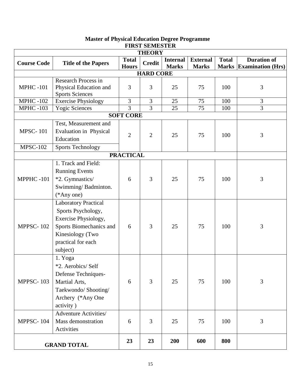|                    | LIKƏT ƏLMILƏTLIK<br><b>THEORY</b>                                                                                                                          |                              |                |                                 |                                 |              |                                                      |  |  |  |  |  |
|--------------------|------------------------------------------------------------------------------------------------------------------------------------------------------------|------------------------------|----------------|---------------------------------|---------------------------------|--------------|------------------------------------------------------|--|--|--|--|--|
| <b>Course Code</b> | <b>Title of the Papers</b>                                                                                                                                 | <b>Total</b><br><b>Hours</b> | <b>Credit</b>  | <b>Internal</b><br><b>Marks</b> | <b>External</b><br><b>Marks</b> | <b>Total</b> | <b>Duration of</b><br><b>Marks Examination (Hrs)</b> |  |  |  |  |  |
|                    | <b>HARD CORE</b>                                                                                                                                           |                              |                |                                 |                                 |              |                                                      |  |  |  |  |  |
| <b>MPHC-101</b>    | <b>Research Process in</b><br>Physical Education and<br><b>Sports Sciences</b>                                                                             | 3                            | 3              | 25                              | 75                              | 100          | 3                                                    |  |  |  |  |  |
| <b>MPHC-102</b>    | <b>Exercise Physiology</b>                                                                                                                                 | $\overline{3}$               | 3              | 25                              | 75                              | 100          | 3                                                    |  |  |  |  |  |
| <b>MPHC-103</b>    | <b>Yogic Sciences</b>                                                                                                                                      | $\overline{3}$               | 3              | 25                              | 75                              | 100          | $\overline{3}$                                       |  |  |  |  |  |
|                    |                                                                                                                                                            | <b>SOFT CORE</b>             |                |                                 |                                 |              |                                                      |  |  |  |  |  |
| <b>MPSC-101</b>    | Test, Measurement and<br>Evaluation in Physical<br>Education                                                                                               | $\overline{2}$               | $\overline{2}$ | 25                              | 75                              | 100          | 3                                                    |  |  |  |  |  |
| <b>MPSC-102</b>    | <b>Sports Technology</b>                                                                                                                                   |                              |                |                                 |                                 |              |                                                      |  |  |  |  |  |
|                    |                                                                                                                                                            | <b>PRACTICAL</b>             |                |                                 |                                 |              |                                                      |  |  |  |  |  |
| MPPHC-101          | 1. Track and Field:<br><b>Running Events</b><br>*2. Gymnastics/<br>Swimming/Badminton.<br>$(*Any one)$                                                     | 6                            | 3              | 25                              | 75                              | 100          | 3                                                    |  |  |  |  |  |
| MPPSC-102          | <b>Laboratory Practical</b><br>Sports Psychology,<br>Exercise Physiology,<br>Sports Biomechanics and<br>Kinesiology (Two<br>practical for each<br>subject) | 6                            | 3              | 25                              | 75                              | 100          | 3                                                    |  |  |  |  |  |
| MPPSC-103          | 1. Yoga<br>*2. Aerobics/ Self<br>Defense Techniques-<br>Martial Arts,<br>Taekwondo/ Shooting/<br>Archery (*Any One<br>activity)                            | 6                            | 3              | 25                              | 75                              | 100          | 3                                                    |  |  |  |  |  |
| MPPSC-104          | <b>Adventure Activities/</b><br>Mass demonstration<br>Activities                                                                                           | 6                            | 3              | 25                              | 75                              | 100          | 3                                                    |  |  |  |  |  |
|                    | <b>GRAND TOTAL</b>                                                                                                                                         | 23                           | 23             | 200                             | 600                             | 800          |                                                      |  |  |  |  |  |

#### **Master of Physical Education Degree Programme FIRST SEMESTER**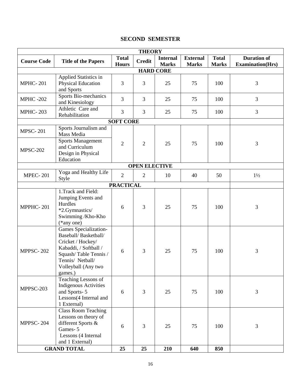# **SECOND SEMESTER**

| <b>THEORY</b>      |                                                                                                                                                                             |                              |                      |                                 |                                 |                              |                                               |  |  |  |  |
|--------------------|-----------------------------------------------------------------------------------------------------------------------------------------------------------------------------|------------------------------|----------------------|---------------------------------|---------------------------------|------------------------------|-----------------------------------------------|--|--|--|--|
| <b>Course Code</b> | <b>Title of the Papers</b>                                                                                                                                                  | <b>Total</b><br><b>Hours</b> | <b>Credit</b>        | <b>Internal</b><br><b>Marks</b> | <b>External</b><br><b>Marks</b> | <b>Total</b><br><b>Marks</b> | <b>Duration of</b><br><b>Examination(Hrs)</b> |  |  |  |  |
| <b>HARD CORE</b>   |                                                                                                                                                                             |                              |                      |                                 |                                 |                              |                                               |  |  |  |  |
| <b>MPHC-201</b>    | Applied Statistics in<br>Physical Education<br>and Sports                                                                                                                   | 3                            | 3                    | 25                              | 75                              | 100                          | 3                                             |  |  |  |  |
| <b>MPHC -202</b>   | Sports Bio-mechanics<br>and Kinesiology                                                                                                                                     | 3                            | 3                    | 25                              | 75                              | 100                          | 3                                             |  |  |  |  |
| <b>MPHC-203</b>    | Athletic Care and<br>Rehabilitation                                                                                                                                         | 3                            | 3                    | 25                              | 75                              | 100                          | 3                                             |  |  |  |  |
|                    |                                                                                                                                                                             | <b>SOFT CORE</b>             |                      |                                 |                                 |                              |                                               |  |  |  |  |
| <b>MPSC-201</b>    | Sports Journalism and<br>Mass Media                                                                                                                                         |                              |                      |                                 |                                 |                              |                                               |  |  |  |  |
| <b>MPSC-202</b>    | <b>Sports Management</b><br>and Curriculum<br>Design in Physical<br>Education                                                                                               | $\overline{2}$               | $\overline{2}$       | 25                              | 75                              | 100                          | 3                                             |  |  |  |  |
|                    |                                                                                                                                                                             |                              | <b>OPEN ELECTIVE</b> |                                 |                                 |                              |                                               |  |  |  |  |
| <b>MPEC-201</b>    | Yoga and Healthy Life<br>Style                                                                                                                                              | $\overline{2}$               | $\overline{2}$       | 10                              | 40                              | 50                           | $1\frac{1}{2}$                                |  |  |  |  |
|                    |                                                                                                                                                                             | <b>PRACTICAL</b>             |                      |                                 |                                 |                              |                                               |  |  |  |  |
| MPPHC-201          | 1. Track and Field:<br>Jumping Events and<br>Hurdles<br>*2.Gymnastics/<br>Swimming /Kho-Kho<br>$(*any one)$                                                                 | 6                            | 3                    | 25                              | 75                              | 100                          | 3                                             |  |  |  |  |
| <b>MPPSC-202</b>   | Games Specialization-<br>Baseball/ Basketball/<br>Cricket / Hockey/<br>Kabaddi, / Softball /<br>Squash/Table Tennis /<br>Tennis/ Netball/<br>Volleyball (Any two<br>games.) | 6                            | 3                    | 25                              | 75                              | 100                          | 3                                             |  |  |  |  |
| MPPSC-203          | Teaching Lessons of<br><b>Indigenous Activities</b><br>and Sports-5<br>Lessons(4 Internal and<br>1 External)                                                                | 6                            | 3                    | 25                              | 75                              | 100                          | 3                                             |  |  |  |  |
| MPPSC-204          | <b>Class Room Teaching</b><br>Lessons on theory of<br>different Sports &<br>Games-5<br>Lessons (4 Internal<br>and 1 External)                                               | 6                            | 3                    | 25                              | 75                              | 100                          | 3                                             |  |  |  |  |
|                    | <b>GRAND TOTAL</b>                                                                                                                                                          | 25                           | 25                   | 210                             | 640                             | 850                          |                                               |  |  |  |  |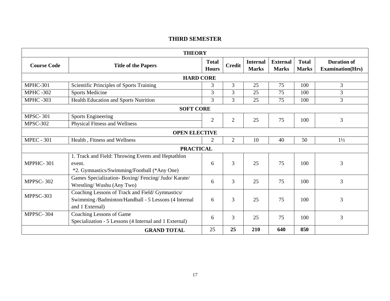# **THIRD SEMESTER**

| <b>THEORY</b>        |                                                                                                                             |                |                |                                 |                                 |                              |                                               |  |  |  |
|----------------------|-----------------------------------------------------------------------------------------------------------------------------|----------------|----------------|---------------------------------|---------------------------------|------------------------------|-----------------------------------------------|--|--|--|
| <b>Course Code</b>   | <b>Title of the Papers</b>                                                                                                  |                | <b>Credit</b>  | <b>Internal</b><br><b>Marks</b> | <b>External</b><br><b>Marks</b> | <b>Total</b><br><b>Marks</b> | <b>Duration of</b><br><b>Examination(Hrs)</b> |  |  |  |
| <b>HARD CORE</b>     |                                                                                                                             |                |                |                                 |                                 |                              |                                               |  |  |  |
| MPHC-301             | Scientific Principles of Sports Training                                                                                    | 3              | 3              | 25                              | 75                              | 100                          | $\overline{3}$                                |  |  |  |
| <b>MPHC-302</b>      | <b>Sports Medicine</b>                                                                                                      | $\overline{3}$ | $\overline{3}$ | 25                              | 75                              | 100                          | $\overline{3}$                                |  |  |  |
| <b>MPHC-303</b>      | <b>Health Education and Sports Nutrition</b>                                                                                | 3              | 3              | 25                              | 75                              | 100                          | $\mathfrak{Z}$                                |  |  |  |
|                      | <b>SOFT CORE</b>                                                                                                            |                |                |                                 |                                 |                              |                                               |  |  |  |
| <b>MPSC-301</b>      | <b>Sports Engineering</b>                                                                                                   | $\overline{2}$ | $\overline{2}$ | 25                              | 75                              | 100                          | $\overline{3}$                                |  |  |  |
| <b>MPSC-302</b>      | <b>Physical Fitness and Wellness</b>                                                                                        |                |                |                                 |                                 |                              |                                               |  |  |  |
| <b>OPEN ELECTIVE</b> |                                                                                                                             |                |                |                                 |                                 |                              |                                               |  |  |  |
| <b>MPEC - 301</b>    | Health, Fitness and Wellness                                                                                                | 2              | $\overline{2}$ | 10                              | 40                              | 50                           | $1\frac{1}{2}$                                |  |  |  |
|                      | <b>PRACTICAL</b>                                                                                                            |                |                |                                 |                                 |                              |                                               |  |  |  |
| MPPHC-301            | 1. Track and Field: Throwing Events and Heptathlon<br>event.<br>*2. Gymnastics/Swimming/Football (*Any One)                 | 6              | 3              | 25                              | 75                              | 100                          | 3                                             |  |  |  |
| MPPSC-302            | Games Specialization-Boxing/Fencing/Judo/Karate/<br>Wrestling/Wushu (Any Two)                                               | 6              | 3              | 25                              | 75                              | 100                          | $\overline{3}$                                |  |  |  |
| MPPSC-303            | Coaching Lessons of Track and Field/ Gymnastics/<br>Swimming /Badminton/Handball - 5 Lessons (4 Internal<br>and 1 External) |                | 3              | 25                              | 75                              | 100                          | 3                                             |  |  |  |
| MPPSC-304            | Coaching Lessons of Game<br>Specialization - 5 Lessons (4 Internal and 1 External)                                          | 6              | 3              | 25                              | 75                              | 100                          | $\overline{3}$                                |  |  |  |
|                      | <b>GRAND TOTAL</b>                                                                                                          | 25             | 25             | 210                             | 640                             | 850                          |                                               |  |  |  |